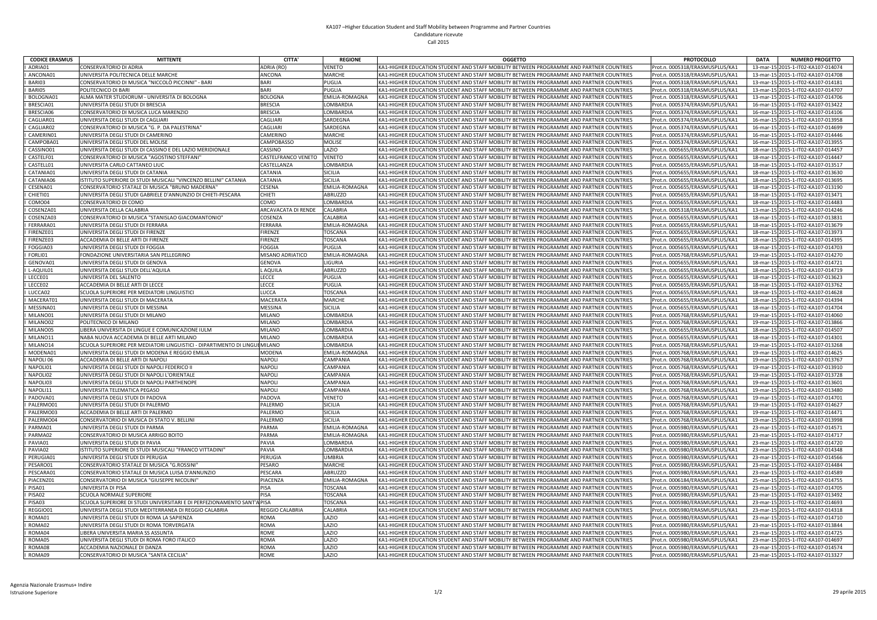| <b>CODICE ERASMUS</b>    | <b>MITTENTE</b>                                                                                 | <b>CITTA'</b>                                    | <b>REGIONE</b>                   | <b>OGGETTO</b>                                                                                                                                                                     | <b>PROTOCOLLO</b>                                                  | <b>NUMERO PROGETTO</b><br><b>DATA</b>                                    |
|--------------------------|-------------------------------------------------------------------------------------------------|--------------------------------------------------|----------------------------------|------------------------------------------------------------------------------------------------------------------------------------------------------------------------------------|--------------------------------------------------------------------|--------------------------------------------------------------------------|
| ADRIA01                  | <b>CONSERVATORIO DI ADRIA</b>                                                                   | ADRIA (RO)                                       | <b>VENETO</b>                    | KA1-HIGHER EDUCATION STUDENT AND STAFF MOBILITY BETWEEN PROGRAMME AND PARTNER COUNTRIES                                                                                            | Prot.n. 0005318/ERASMUSPLUS/KA                                     | 13-mar-15 2015-1-IT02-KA107-014074                                       |
| ANCONA01                 | UNIVERSITA POLITECNICA DELLE MARCHE                                                             | <b>ANCONA</b>                                    | <b>MARCHE</b>                    | KA1-HIGHER EDUCATION STUDENT AND STAFF MOBILITY BETWEEN PROGRAMME AND PARTNER COUNTRIES                                                                                            | Prot.n. 0005318/ERASMUSPLUS/KA1                                    | 13-mar-15 2015-1-IT02-KA107-014708                                       |
| <b>BARIO3</b>            | CONSERVATORIO DI MUSICA "NICCOLÒ PICCINNI" - BARI                                               | <b>BARI</b>                                      | <b>PUGLIA</b>                    | KA1-HIGHER EDUCATION STUDENT AND STAFF MOBILITY BETWEEN PROGRAMME AND PARTNER COUNTRIES                                                                                            | Prot.n. 0005318/ERASMUSPLUS/KA1                                    | 13-mar-15 2015-1-IT02-KA107-014181                                       |
| BARI05                   | POLITECNICO DI BARI                                                                             | <b>BARI</b>                                      | <b>PUGLIA</b>                    | KA1-HIGHER EDUCATION STUDENT AND STAFF MOBILITY BETWEEN PROGRAMME AND PARTNER COUNTRIES                                                                                            | Prot.n. 0005318/ERASMUSPLUS/KA1                                    | 13-mar-15 2015-1-IT02-KA107-014707                                       |
| I BOLOGNA01              | ALMA MATER STUDIORUM - UNIVERSITA DI BOLOGNA                                                    | <b>BOLOGNA</b>                                   | EMILIA-ROMAGNA                   | İKA1-HIGHER EDUCATION STUDENT AND STAFF MOBILITY BETWEEN PROGRAMME AND PARTNER COUNTRIES                                                                                           | Prot.n. 0005318/ERASMUSPLUS/KA1                                    | 13-mar-15 2015-1-IT02-KA107-014706                                       |
| I BRESCIA01              | UNIVERSITA DEGLI STUDI DI BRESCIA                                                               | <b>BRESCIA</b>                                   | OMBARDIA                         | KA1-HIGHER EDUCATION STUDENT AND STAFF MOBILITY BETWEEN PROGRAMME AND PARTNER COUNTRIES                                                                                            | Prot.n. 0005374/ERASMUSPLUS/KA1                                    | 16-mar-15 2015-1-IT02-KA107-013422                                       |
| BRESCIA06                | CONSERVATORIO DI MUSICA LUCA MARENZIO                                                           | <b>BRESCIA</b>                                   | LOMBARDIA                        | IKA1-HIGHER FDUCATION STUDENT AND STAFF MOBILITY BETWEEN PROGRAMME AND PARTNER COUNTRIES                                                                                           | Prot.n. 0005374/ERASMUSPLUS/KA1                                    | 16-mar-15 2015-1-IT02-KA107-014106                                       |
| CAGLIAR01                | UNIVERSITA DEGLI STUDI DI CAGLIARI                                                              | CAGLIARI                                         | SARDEGNA                         | KA1-HIGHER EDUCATION STUDENT AND STAFF MOBILITY BETWEEN PROGRAMME AND PARTNER COUNTRIES                                                                                            | Prot.n. 0005374/ERASMUSPLUS/KA1                                    | 16-mar-15 2015-1-IT02-KA107-013958                                       |
| CAGLIAR02                | CONSERVATORIO DI MUSICA "G. P. DA PALESTRINA"                                                   | <b>CAGLIARI</b>                                  | SARDEGNA                         | KA1-HIGHER EDUCATION STUDENT AND STAFF MOBILITY BETWEEN PROGRAMME AND PARTNER COUNTRIES                                                                                            | Prot.n. 0005374/ERASMUSPLUS/KA1                                    | 16-mar-15 2015-1-IT02-KA107-014699                                       |
| CAMERIN01                | UNIVERSITA DEGLI STUDI DI CAMERINO                                                              | <b>CAMERINO</b>                                  | <b>MARCHE</b>                    | KA1-HIGHER EDUCATION STUDENT AND STAFF MOBILITY BETWEEN PROGRAMME AND PARTNER COUNTRIES                                                                                            | Prot.n. 0005374/ERASMUSPLUS/KA1                                    | 16-mar-15 2015-1-IT02-KA107-014446                                       |
| CAMPOBA01                | UNIVERSITA DEGLI STUDI DEL MOLISE                                                               | <b>CAMPOBASSO</b>                                | <b>MOLISE</b>                    | KA1-HIGHER EDUCATION STUDENT AND STAFF MOBILITY BETWEEN PROGRAMME AND PARTNER COUNTRIES                                                                                            | Prot.n. 0005374/ERASMUSPLUS/KA1                                    | 16-mar-15 2015-1-IT02-KA107-013955                                       |
| CASSINO01                | UNIVERSITA DEGLI STUDI DI CASSINO E DEL LAZIO MERIDIONALE                                       | <b>CASSINO</b>                                   | LAZIO                            | IKA1-HIGHER EDUCATION STUDENT AND STAFF MOBILITY BETWEEN PROGRAMME AND PARTNER COUNTRIES                                                                                           | Prot.n. 0005655/ERASMUSPLUS/KA1                                    | 18-mar-15 2015-1-IT02-KA107-014457                                       |
| CASTELF01                | CONSERVATORIO DI MUSICA "AGOSTINO STEFFANI'<br>UNIVERSITA CARLO CATTANEO LIUC                   | <b>CASTELFRANCO VENETC</b><br><b>CASTELLANZA</b> | <b>VENETO</b><br><b>OMBARDIA</b> | KA1-HIGHER EDUCATION STUDENT AND STAFF MOBILITY BETWEEN PROGRAMME AND PARTNER COUNTRIES<br>KA1-HIGHER EDUCATION STUDENT AND STAFF MOBILITY BETWEEN PROGRAMME AND PARTNER COUNTRIES | Prot.n. 0005655/ERASMUSPLUS/KA1<br>Prot.n. 0005655/ERASMUSPLUS/KA1 | 18-mar-15 2015-1-IT02-KA107-014447<br>18-mar-15 2015-1-IT02-KA107-013517 |
| CASTELL01<br>I CATANIA01 | UNIVERSITA DEGLI STUDI DI CATANIA                                                               | <b>CATANIA</b>                                   | <b>SICILIA</b>                   | KA1-HIGHER EDUCATION STUDENT AND STAFF MOBILITY BETWEEN PROGRAMME AND PARTNER COUNTRIES                                                                                            | Prot.n. 0005655/ERASMUSPLUS/KA1                                    | 18-mar-15 2015-1-IT02-KA107-013630                                       |
| <b>CATANIA06</b>         | ISTITUTO SUPERIORE DI STUDI MUSICALI "VINCENZO BELLINI" CATANI/                                 | <b>CATANIA</b>                                   | <b>SICILIA</b>                   | KA1-HIGHER EDUCATION STUDENT AND STAFF MOBILITY BETWEEN PROGRAMME AND PARTNER COUNTRIES                                                                                            | Prot.n. 0005655/ERASMUSPLUS/KA1                                    | 18-mar-15 2015-1-IT02-KA107-013695                                       |
| CESENA01                 | <b>CONSERVATORIO STATALE DI MUSICA "BRUNO MADERNA"</b>                                          | <b>CESENA</b>                                    | EMILIA-ROMAGNA                   | IKA1-HIGHER EDUCATION STUDENT AND STAFF MOBILITY BETWEEN PROGRAMME AND PARTNER COUNTRIES                                                                                           | Prot.n. 0005655/ERASMUSPLUS/KA1                                    | 18-mar-15 2015-1-IT02-KA107-013190                                       |
| CHIETI01                 | UNIVERSITA DEGLI STUDI GABRIELE D'ANNUNZIO DI CHIETI-PESCARA                                    | <b>CHIETI</b>                                    | <b>ABRUZZO</b>                   | KA1-HIGHER EDUCATION STUDENT AND STAFF MOBILITY BETWEEN PROGRAMME AND PARTNER COUNTRIES                                                                                            | Prot.n. 0005655/ERASMUSPLUS/KA1                                    | 18-mar-15 2015-1-IT02-KA107-013471                                       |
| COMO04                   | CONSERVATORIO DI COMO                                                                           | COMO                                             | LOMBARDIA                        | KA1-HIGHER EDUCATION STUDENT AND STAFF MOBILITY BETWEEN PROGRAMME AND PARTNER COUNTRIES                                                                                            | Prot.n. 0005655/ERASMUSPLUS/KA1                                    | 18-mar-15 2015-1-IT02-KA107-014483                                       |
| COSENZA01                | UNIVERSITA DELLA CALABRIA                                                                       | <b>ARCAVACATA DI RENDE</b>                       | CALABRIA                         | KA1-HIGHER EDUCATION STUDENT AND STAFF MOBILITY BETWEEN PROGRAMME AND PARTNER COUNTRIES                                                                                            | Prot.n. 0005318/ERASMUSPLUS/KA1                                    | 13-mar-15 2015-1-IT02-KA107-014246                                       |
| COSENZA03                | CONSERVATORIO DI MUSICA "STANISLAO GIACOMANTONIO"                                               | COSENZA                                          | <b>CALABRIA</b>                  | KA1-HIGHER EDUCATION STUDENT AND STAFF MOBILITY BETWEEN PROGRAMME AND PARTNER COUNTRIES                                                                                            | Prot.n. 0005655/ERASMUSPLUS/KA1                                    | 18-mar-15 2015-1-IT02-KA107-013831                                       |
| FERRARA01                | UNIVERSITA DEGLI STUDI DI FERRARA                                                               | <b>FERRARA</b>                                   | <b>EMILIA-ROMAGNA</b>            | IKA1-HIGHER EDUCATION STUDENT AND STAFF MOBILITY BETWEEN PROGRAMME AND PARTNER COUNTRIES                                                                                           | Prot.n. 0005655/ERASMUSPLUS/KA1                                    | 18-mar-15 2015-1-IT02-KA107-013679                                       |
| FIRENZE01                | UNIVERSITA DEGLI STUDI DI FIRENZE                                                               | <b>FIRENZE</b>                                   | <b>TOSCANA</b>                   | KA1-HIGHER EDUCATION STUDENT AND STAFF MOBILITY BETWEEN PROGRAMME AND PARTNER COUNTRIES                                                                                            | Prot.n. 0005655/ERASMUSPLUS/KA1                                    | 18-mar-15 2015-1-IT02-KA107-013973                                       |
| I FIRENZE03              | ACCADEMIA DI BELLE ARTI DI FIRENZE                                                              | <b>FIRENZE</b>                                   | TOSCANA                          | KA1-HIGHER EDUCATION STUDENT AND STAFF MOBILITY BETWEEN PROGRAMME AND PARTNER COUNTRIES                                                                                            | Prot.n. 0005655/ERASMUSPLUS/KA1                                    | 18-mar-15 2015-1-IT02-KA107-014395                                       |
| FOGGIA03                 | UNIVERSITA DEGLI STUDI DI FOGGIA                                                                | <b>FOGGIA</b>                                    | <b>PUGLIA</b>                    | KA1-HIGHER EDUCATION STUDENT AND STAFF MOBILITY BETWEEN PROGRAMME AND PARTNER COUNTRIES                                                                                            | Prot.n. 0005655/ERASMUSPLUS/KA1                                    | 18-mar-15 2015-1-IT02-KA107-014703                                       |
| FORLI01                  | FONDAZIONE UNIVERSITARIA SAN PELLEGRINO                                                         | <b>MISANO ADRIATICO</b>                          | EMILIA-ROMAGNA                   | KA1-HIGHER EDUCATION STUDENT AND STAFF MOBILITY BETWEEN PROGRAMME AND PARTNER COUNTRIES                                                                                            | Prot.n. 0005768/ERASMUSPLUS/KA1                                    | 19-mar-15 2015-1-IT02-KA107-014270                                       |
| I GENOVA01               | UNIVERSITA DEGLI STUDI DI GENOVA                                                                | <b>GENOVA</b>                                    | LIGURIA                          | IKA1-HIGHER EDUCATION STUDENT AND STAFF MOBILITY BETWEEN PROGRAMME AND PARTNER COUNTRIES                                                                                           | Prot.n. 0005655/ERASMUSPLUS/KA1                                    | 18-mar-15 2015-1-IT02-KA107-014721                                       |
| L-AQUIL01                | UNIVERSITA DEGLI STUDI DELL'AQUILA                                                              | <b>AQUILA</b>                                    | <b>ABRUZZO</b>                   | KA1-HIGHER EDUCATION STUDENT AND STAFF MOBILITY BETWEEN PROGRAMME AND PARTNER COUNTRIES                                                                                            | Prot.n. 0005655/ERASMUSPLUS/KA1                                    | 18-mar-15 2015-1-IT02-KA107-014719                                       |
| LECCE01                  | UNIVERSITA DEL SALENTO                                                                          | <b>LECCE</b>                                     | <b>PUGLIA</b>                    | KA1-HIGHER EDUCATION STUDENT AND STAFF MOBILITY BETWEEN PROGRAMME AND PARTNER COUNTRIES                                                                                            | Prot.n. 0005655/ERASMUSPLUS/KA1                                    | 18-mar-15   2015-1-IT02-KA107-013623                                     |
| I LECCE02                | ACCADEMIA DI BELLE ARTI DI LECCE                                                                | <b>LECCE</b>                                     | <b>PUGLIA</b>                    | KA1-HIGHER EDUCATION STUDENT AND STAFF MOBILITY BETWEEN PROGRAMME AND PARTNER COUNTRIES                                                                                            | Prot.n. 0005655/ERASMUSPLUS/KA1                                    | 18-mar-15 2015-1-IT02-KA107-013762                                       |
| LUCCA02                  | SCUOLA SUPERIORE PER MEDIATORI LINGUISTICI                                                      | LUCCA                                            | <b>TOSCANA</b>                   | KA1-HIGHER EDUCATION STUDENT AND STAFF MOBILITY BETWEEN PROGRAMME AND PARTNER COUNTRIES                                                                                            | Prot.n. 0005655/ERASMUSPLUS/KA1                                    | 18-mar-15 2015-1-IT02-KA107-014628                                       |
| I MACERATO:              | UNIVERSITA DEGLI STUDI DI MACERATA                                                              | <b>MACERATA</b>                                  | <b>MARCHE</b>                    | KA1-HIGHER EDUCATION STUDENT AND STAFF MOBILITY BETWEEN PROGRAMME AND PARTNER COUNTRIES                                                                                            | Prot.n. 0005655/ERASMUSPLUS/KA1                                    | 18-mar-15 2015-1-IT02-KA107-014394                                       |
| MESSINA01                | UNIVERSITA DEGLI STUDI DI MESSINA                                                               | <b>MESSINA</b>                                   | <b>SICILIA</b>                   | KA1-HIGHER EDUCATION STUDENT AND STAFF MOBILITY BETWEEN PROGRAMME AND PARTNER COUNTRIES                                                                                            | Prot.n. 0005655/ERASMUSPLUS/KA:                                    | 18-mar-15 2015-1-IT02-KA107-014704                                       |
| I MILANO01               | UNIVERSITA DEGLI STUDI DI MILANO                                                                | <b>MILANO</b>                                    | <b>OMBARDIA</b>                  | KA1-HIGHER EDUCATION STUDENT AND STAFF MOBILITY BETWEEN PROGRAMME AND PARTNER COUNTRIES                                                                                            | Prot.n. 0005768/ERASMUSPLUS/KA1                                    | 19-mar-15 2015-1-IT02-KA107-014060                                       |
| MILANO02                 | POLITECNICO DI MILANO<br>LIBERA UNIVERSITA DI LINGUE E COMUNICAZIONE IULM                       | <b>MILANO</b>                                    | <b>OMBARDIA</b>                  | KA1-HIGHER EDUCATION STUDENT AND STAFF MOBILITY BETWEEN PROGRAMME AND PARTNER COUNTRIES<br>KA1-HIGHER EDUCATION STUDENT AND STAFF MOBILITY BETWEEN PROGRAMME AND PARTNER COUNTRIES | Prot.n. 0005768/ERASMUSPLUS/KA1                                    | 19-mar-15 2015-1-IT02-KA107-013866<br>18-mar-15 2015-1-IT02-KA107-014507 |
| I MILANO05<br>I MILANO11 | NABA NUOVA ACCADEMIA DI BELLE ARTI MILANO                                                       | <b>MILANO</b><br><b>MILANO</b>                   | OMBARDIA<br><b>OMBARDIA</b>      | KA1-HIGHER EDUCATION STUDENT AND STAFF MOBILITY BETWEEN PROGRAMME AND PARTNER COUNTRIES                                                                                            | Prot.n. 0005655/ERASMUSPLUS/KA1<br>Prot.n. 0005655/ERASMUSPLUS/KA1 | 18-mar-15 2015-1-IT02-KA107-014301                                       |
| <b>MILANO14</b>          | SCUOLA SUPERIORE PER MEDIATORI LINGUISTICI - DIPARTIMENTO DI LINGUI MILANO                      |                                                  | <b>OMBARDIA</b>                  | KA1-HIGHER EDUCATION STUDENT AND STAFF MOBILITY BETWEEN PROGRAMME AND PARTNER COUNTRIES                                                                                            | Prot.n. 0005768/ERASMUSPLUS/KA1                                    | 19-mar-15 2015-1-IT02-KA107-013268                                       |
| MODENA01                 | UNIVERSITA DEGLI STUDI DI MODENA E REGGIO EMILIA                                                | <b>MODENA</b>                                    | EMILIA-ROMAGN/                   | KA1-HIGHER EDUCATION STUDENT AND STAFF MOBILITY BETWEEN PROGRAMME AND PARTNER COUNTRIES                                                                                            | Prot.n. 0005768/ERASMUSPLUS/KA1                                    | 19-mar-15 2015-1-IT02-KA107-014625                                       |
| NAPOLI <sub>06</sub>     | ACCADEMIA DI BELLE ARTI DI NAPOLI                                                               | <b>NAPOLI</b>                                    | <b>AMPANIA</b>                   | KA1-HIGHER EDUCATION STUDENT AND STAFF MOBILITY BETWEEN PROGRAMME AND PARTNER COUNTRIES                                                                                            | Prot.n. 0005768/ERASMUSPLUS/KA1                                    | 19-mar-15 2015-1-IT02-KA107-013767                                       |
| NAPOLI01                 | UNIVERSITA DEGLI STUDI DI NAPOLI FEDERICO II                                                    | <b>NAPOLI</b>                                    | CAMPANIA                         | KA1-HIGHER EDUCATION STUDENT AND STAFF MOBILITY BETWEEN PROGRAMME AND PARTNER COUNTRIES                                                                                            | Prot.n. 0005768/ERASMUSPLUS/KA1                                    | 19-mar-15 2015-1-IT02-KA107-013910                                       |
| <b>NAPOLI02</b>          | UNIVERSITÀ DEGLI STUDI DI NAPOLI L'ORIENTALE                                                    | <b>NAPOLI</b>                                    | CAMPANIA                         | KA1-HIGHER EDUCATION STUDENT AND STAFF MOBILITY BETWEEN PROGRAMME AND PARTNER COUNTRIES                                                                                            | Prot.n. 0005768/ERASMUSPLUS/KA1                                    | 19-mar-15 2015-1-IT02-KA107-013728                                       |
| NAPOLI03                 | UNIVERSITA DEGLI STUDI DI NAPOLI PARTHENOPE                                                     | <b>NAPOLI</b>                                    | CAMPANIA                         | KA1-HIGHER EDUCATION STUDENT AND STAFF MOBILITY BETWEEN PROGRAMME AND PARTNER COUNTRIES                                                                                            | Prot.n. 0005768/ERASMUSPLUS/KA1                                    | 19-mar-15 2015-1-IT02-KA107-013601                                       |
| NAPOLI11                 | UNIVERSITA TELEMATICA PEGASO                                                                    | <b>NAPOLI</b>                                    | CAMPANIA                         | KA1-HIGHER EDUCATION STUDENT AND STAFF MOBILITY BETWEEN PROGRAMME AND PARTNER COUNTRIES                                                                                            | Prot.n. 0005768/ERASMUSPLUS/KA1                                    | 19-mar-15 2015-1-IT02-KA107-013480                                       |
| PADOVA01                 | UNIVERSITA DEGLI STUDI DI PADOVA                                                                | PADOVA                                           | <b>VENETO</b>                    | KA1-HIGHER EDUCATION STUDENT AND STAFF MOBILITY BETWEEN PROGRAMME AND PARTNER COUNTRIES                                                                                            | Prot.n. 0005768/ERASMUSPLUS/KA1                                    | 19-mar-15 2015-1-IT02-KA107-014701                                       |
| I PALERMO01              | UNIVERSITA DEGLI STUDI DI PALERMO                                                               | PALERMO                                          | <b>SICILIA</b>                   | KA1-HIGHER EDUCATION STUDENT AND STAFF MOBILITY BETWEEN PROGRAMME AND PARTNER COUNTRIES                                                                                            | Prot.n. 0005768/ERASMUSPLUS/KA1                                    | 19-mar-15 2015-1-IT02-KA107-014627                                       |
| I PALERMO03              | ACCADEMIA DI BELLE ARTI DI PALERMO                                                              | <b>PALERMO</b>                                   | <b>SICILIA</b>                   | KA1-HIGHER EDUCATION STUDENT AND STAFF MOBILITY BETWEEN PROGRAMME AND PARTNER COUNTRIES                                                                                            | Prot.n. 0005768/ERASMUSPLUS/KA1                                    | 19-mar-15 2015-1-IT02-KA107-014471                                       |
| I PALERMO04              | CONSERVATORIO DI MUSICA DI STATO V. BELLINI                                                     | PALERMO                                          | <b>SICILIA</b>                   | KA1-HIGHER EDUCATION STUDENT AND STAFF MOBILITY BETWEEN PROGRAMME AND PARTNER COUNTRIES                                                                                            | Prot.n. 0005768/ERASMUSPLUS/KA1                                    | 19-mar-15 2015-1-IT02-KA107-013998                                       |
| I PARMA01                | UNIVERSITA DEGLI STUDI DI PARMA                                                                 | <b>PARMA</b>                                     | <b>EMILIA-ROMAGNA</b>            | KA1-HIGHER EDUCATION STUDENT AND STAFF MOBILITY BETWEEN PROGRAMME AND PARTNER COUNTRIES                                                                                            | Prot.n. 0005980/ERASMUSPLUS/KA1                                    | 23-mar-15 2015-1-IT02-KA107-014571                                       |
| I PARMA02                | CONSERVATORIO DI MUSICA ARRIGO BOITO                                                            | PARMA                                            | EMILIA-ROMAGNA                   | KA1-HIGHER EDUCATION STUDENT AND STAFF MOBILITY BETWEEN PROGRAMME AND PARTNER COUNTRIES                                                                                            | Prot.n. 0005980/ERASMUSPLUS/KA1                                    | 23-mar-15 2015-1-IT02-KA107-014717                                       |
| I PAVIA01                | UNIVERSITA DEGLI STUDI DI PAVIA                                                                 | <b>PAVIA</b>                                     | <b>OMBARDIA</b>                  | KA1-HIGHER EDUCATION STUDENT AND STAFF MOBILITY BETWEEN PROGRAMME AND PARTNER COUNTRIES                                                                                            | Prot.n. 0005980/ERASMUSPLUS/KA                                     | 23-mar-15 2015-1-IT02-KA107-014720                                       |
| I PAVIA02                | ISTITUTO SUPERIORE DI STUDI MUSICALI "FRANCO VITTADINI"                                         | <b>PAVIA</b>                                     | OMBARDIA                         | İKA1-HIGHER EDUCATION STUDENT AND STAFF MOBILITY BETWEEN PROGRAMME AND PARTNER COUNTRIES                                                                                           | Prot.n. 0005980/ERASMUSPLUS/KA1                                    | 23-mar-15 2015-1-IT02-KA107-014348                                       |
| PERUGIA01                | UNIVERSITA DEGLI STUDI DI PERUGIA                                                               | PERUGIA                                          | <b>JMBRIA</b>                    | KA1-HIGHER EDUCATION STUDENT AND STAFF MOBILITY BETWEEN PROGRAMME AND PARTNER COUNTRIES                                                                                            | Prot.n. 0005980/ERASMUSPLUS/KA1                                    | 23-mar-15 2015-1-IT02-KA107-014566                                       |
| PESARO01<br>PESCARA01    | CONSERVATORIO STATALE DI MUSICA "G.ROSSINI"<br>CONSERVATORIO STATALE DI MUSICA LUISA D'ANNUNZIO | <b>PESARO</b><br>PESCARA                         | <b>MARCHE</b><br><b>ABRUZZO</b>  | KA1-HIGHER EDUCATION STUDENT AND STAFF MOBILITY BETWEEN PROGRAMME AND PARTNER COUNTRIES<br>KA1-HIGHER EDUCATION STUDENT AND STAFF MOBILITY BETWEEN PROGRAMME AND PARTNER COUNTRIES | Prot.n. 0005980/ERASMUSPLUS/KA1                                    | 23-mar-15 2015-1-IT02-KA107-014484<br>23-mar-15 2015-1-IT02-KA107-014589 |
|                          |                                                                                                 | PIACENZA                                         | EMILIA-ROMAGNA                   | KA1-HIGHER EDUCATION STUDENT AND STAFF MOBILITY BETWEEN PROGRAMME AND PARTNER COUNTRIES                                                                                            | Prot.n. 0005980/ERASMUSPLUS/KA1                                    | 25-mar-15 2015-1-IT02-KA107-014755                                       |
| PIACENZ01<br>I PISA01    | CONSERVATORIO DI MUSICA "GIUSEPPE NICOLINI"<br>UNIVERSITA DI PISA                               | <b>PISA</b>                                      | TOSCANA                          | İKA1-HIGHER EDUCATION STUDENT AND STAFF MOBILITY BETWEEN PROGRAMME AND PARTNER COUNTRIES                                                                                           | Prot.n. 0006184/ERASMUSPLUS/KA<br>Prot.n. 0005980/ERASMUSPLUS/KA1  | 23-mar-15 2015-1-IT02-KA107-014705                                       |
| I PISA02                 | <b>SCUOLA NORMALE SUPERIORE</b>                                                                 | <b>PISA</b>                                      | TOSCANA                          | KA1-HIGHER EDUCATION STUDENT AND STAFF MOBILITY BETWEEN PROGRAMME AND PARTNER COUNTRIES                                                                                            | Prot.n. 0005980/ERASMUSPLUS/KA                                     | 23-mar-15 2015-1-IT02-KA107-013492                                       |
| I PISA03                 | SCUOLA SUPERIORE DI STUDI UNIVERSITARI E DI PERFEZIONAMENTO SANT'A PISA                         |                                                  | TOSCANA                          | KA1-HIGHER EDUCATION STUDENT AND STAFF MOBILITY BETWEEN PROGRAMME AND PARTNER COUNTRIES                                                                                            | Prot.n. 0005980/ERASMUSPLUS/KA1                                    | 23-mar-15 2015-1-IT02-KA107-014693                                       |
| I REGGIO01               | UNIVERSITA DEGLI STUDI MEDITERRANEA DI REGGIO CALABRIA                                          | <b>REGGIO CALABRIA</b>                           | CALABRIA                         | KA1-HIGHER EDUCATION STUDENT AND STAFF MOBILITY BETWEEN PROGRAMME AND PARTNER COUNTRIES                                                                                            | Prot.n. 0005980/ERASMUSPLUS/KA1                                    | 23-mar-15 2015-1-IT02-KA107-014318                                       |
| ROMA01                   | UNIVERSITA DEGLI STUDI DI ROMA LA SAPIENZA                                                      | <b>ROMA</b>                                      | LAZIO                            | KA1-HIGHER EDUCATION STUDENT AND STAFF MOBILITY BETWEEN PROGRAMME AND PARTNER COUNTRIES                                                                                            | Prot.n. 0005980/ERASMUSPLUS/KA1                                    | 23-mar-15 2015-1-IT02-KA107-014710                                       |
| I ROMA02                 | UNIVERSITA DEGLI STUDI DI ROMA TORVERGATA                                                       | <b>ROMA</b>                                      | LAZIO                            | KA1-HIGHER EDUCATION STUDENT AND STAFF MOBILITY BETWEEN PROGRAMME AND PARTNER COUNTRIES                                                                                            | Prot.n. 0005980/ERASMUSPLUS/KA1                                    | 23-mar-15 2015-1-IT02-KA107-013844                                       |
| I ROMA04                 | LIBERA UNIVERSITA MARIA SS ASSUNTA                                                              | <b>ROME</b>                                      | LAZIO                            | KA1-HIGHER EDUCATION STUDENT AND STAFF MOBILITY BETWEEN PROGRAMME AND PARTNER COUNTRIES                                                                                            | Prot.n. 0005980/ERASMUSPLUS/KA1                                    | 23-mar-15 2015-1-IT02-KA107-014725                                       |
| I ROMA05                 | UNIVERSITA DEGLI STUDI DI ROMA FORO ITALICO                                                     | <b>ROMA</b>                                      | LAZIO                            | KA1-HIGHER EDUCATION STUDENT AND STAFF MOBILITY BETWEEN PROGRAMME AND PARTNER COUNTRIES                                                                                            | Prot.n. 0005980/ERASMUSPLUS/KA1                                    | 23-mar-15 2015-1-IT02-KA107-014697                                       |
| <b>ROMA08</b>            | ACCADEMIA NAZIONALE DI DANZA                                                                    | <b>ROMA</b>                                      | LAZIO                            | KA1-HIGHER EDUCATION STUDENT AND STAFF MOBILITY BETWEEN PROGRAMME AND PARTNER COUNTRIES                                                                                            | Prot.n. 0005980/ERASMUSPLUS/KA1                                    | 23-mar-15 2015-1-IT02-KA107-014574                                       |
| ROMA09                   | CONSERVATORIO DI MUSICA "SANTA CECILIA"                                                         | ROME                                             | LAZIO                            | KA1-HIGHER EDUCATION STUDENT AND STAFF MOBILITY BETWEEN PROGRAMME AND PARTNER COUNTRIES                                                                                            | Prot.n. 0005980/ERASMUSPLUS/KA1                                    | 23-mar-15 2015-1-IT02-KA107-013327                                       |